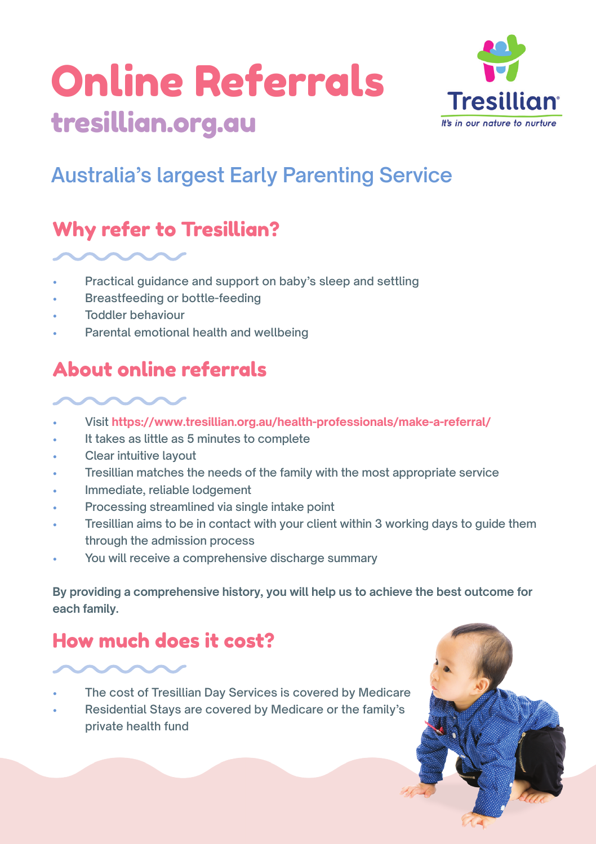# Online Referrals [tresillian.org.au](http://tresillian.org.au)



## **Australia's largest Early Parenting Service**

## Why refer to Tresillian?

- Practical guidance and support on baby's sleep and settling
- Breastfeeding or bottle-feeding
- Toddler behaviour
- Parental emotional health and wellbeing

## About online referrals

• Visit **<https://www.tresillian.org.au/health-professionals/make-a-referral/>**

- It takes as little as 5 minutes to complete
- Clear intuitive layout
- Tresillian matches the needs of the family with the most appropriate service
- Immediate, reliable lodgement
- Processing streamlined via single intake point
- Tresillian aims to be in contact with your client within 3 working days to guide them through the admission process
- You will receive a comprehensive discharge summary

**By providing a comprehensive history, you will help us to achieve the best outcome for each family.**

## How much does it cost?

- The cost of Tresillian Day Services is covered by Medicare
- Residential Stays are covered by Medicare or the family's private health fund